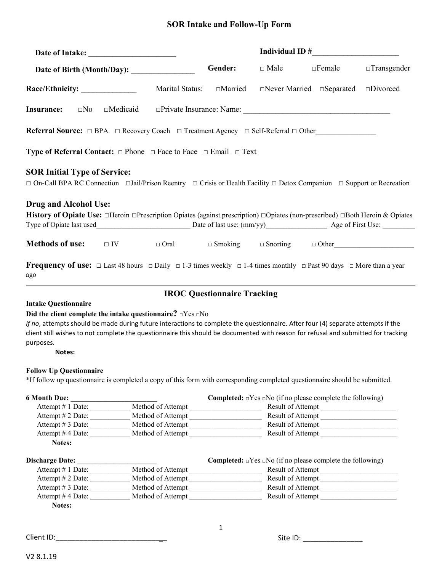# **SOR Intake and Follow-Up Form**

|                                                                                                                                                                                         |                                                                                                                          | Individual ID $#$                  |                                                                              |                   |                    |  |
|-----------------------------------------------------------------------------------------------------------------------------------------------------------------------------------------|--------------------------------------------------------------------------------------------------------------------------|------------------------------------|------------------------------------------------------------------------------|-------------------|--------------------|--|
|                                                                                                                                                                                         |                                                                                                                          | Gender:                            | $\Box$ Male                                                                  | $\Box$ Female     | $\Box$ Transgender |  |
|                                                                                                                                                                                         | Marital Status:                                                                                                          | $\Box$ Married                     | $\Box$ Never Married $\Box$ Separated                                        |                   | $\square$ Divorced |  |
| <b>Insurance:</b>                                                                                                                                                                       |                                                                                                                          |                                    |                                                                              |                   |                    |  |
| Referral Source: □ BPA □ Recovery Coach □ Treatment Agency □ Self-Referral □ Other                                                                                                      |                                                                                                                          |                                    |                                                                              |                   |                    |  |
| <b>Type of Referral Contact:</b> $\Box$ Phone $\Box$ Face to Face $\Box$ Email $\Box$ Text                                                                                              |                                                                                                                          |                                    |                                                                              |                   |                    |  |
| <b>SOR Initial Type of Service:</b><br>$\Box$ On-Call BPA RC Connection $\Box$ Jail/Prison Reentry $\Box$ Crisis or Health Facility $\Box$ Detox Companion $\Box$ Support or Recreation |                                                                                                                          |                                    |                                                                              |                   |                    |  |
| <b>Drug and Alcohol Use:</b>                                                                                                                                                            |                                                                                                                          |                                    |                                                                              |                   |                    |  |
| <b>History of Opiate Use:</b> $\Box$ Heroin $\Box$ Prescription Opiates (against prescription) $\Box$ Opiates (non-prescribed) $\Box$ Both Heroin & Opiates                             |                                                                                                                          |                                    |                                                                              |                   |                    |  |
|                                                                                                                                                                                         |                                                                                                                          |                                    |                                                                              |                   |                    |  |
|                                                                                                                                                                                         |                                                                                                                          |                                    |                                                                              |                   |                    |  |
| <b>Methods of use:</b>                                                                                                                                                                  | $\Box$ IV $\Box$ Oral $\Box$ Smoking $\Box$ Snorting $\Box$ Other                                                        |                                    |                                                                              |                   |                    |  |
| <b>Frequency of use:</b> $\Box$ Last 48 hours $\Box$ Daily $\Box$ 1-3 times weekly $\Box$ 1-4 times monthly $\Box$ Past 90 days $\Box$ More than a year<br>ago                          |                                                                                                                          |                                    |                                                                              |                   |                    |  |
|                                                                                                                                                                                         |                                                                                                                          | <b>IROC Questionnaire Tracking</b> |                                                                              |                   |                    |  |
| <b>Intake Questionnaire</b>                                                                                                                                                             |                                                                                                                          |                                    |                                                                              |                   |                    |  |
| Did the client complete the intake questionnaire? $\Box$ Yes $\Box$ No                                                                                                                  |                                                                                                                          |                                    |                                                                              |                   |                    |  |
| If no, attempts should be made during future interactions to complete the questionnaire. After four (4) separate attempts if the                                                        |                                                                                                                          |                                    |                                                                              |                   |                    |  |
| client still wishes to not complete the questionnaire this should be documented with reason for refusal and submitted for tracking                                                      |                                                                                                                          |                                    |                                                                              |                   |                    |  |
| purposes.                                                                                                                                                                               |                                                                                                                          |                                    |                                                                              |                   |                    |  |
|                                                                                                                                                                                         |                                                                                                                          |                                    |                                                                              |                   |                    |  |
|                                                                                                                                                                                         |                                                                                                                          |                                    |                                                                              |                   |                    |  |
| Notes:                                                                                                                                                                                  |                                                                                                                          |                                    |                                                                              |                   |                    |  |
|                                                                                                                                                                                         |                                                                                                                          |                                    |                                                                              |                   |                    |  |
|                                                                                                                                                                                         |                                                                                                                          |                                    |                                                                              |                   |                    |  |
|                                                                                                                                                                                         |                                                                                                                          |                                    |                                                                              |                   |                    |  |
|                                                                                                                                                                                         |                                                                                                                          |                                    | <b>Completed:</b> $\Box$ Yes $\Box$ No (if no please complete the following) |                   |                    |  |
|                                                                                                                                                                                         |                                                                                                                          |                                    |                                                                              |                   |                    |  |
|                                                                                                                                                                                         | Attempt # 1 Date: ____________ Method of Attempt ________________________________                                        |                                    |                                                                              | Result of Attempt |                    |  |
|                                                                                                                                                                                         | Attempt # 2 Date: ______________ Method of Attempt ______________________________                                        |                                    |                                                                              |                   |                    |  |
|                                                                                                                                                                                         | Attempt # 3 Date: ______________ Method of Attempt _____________________________<br>Attempt #4 Date: Method of Attempt   |                                    |                                                                              | Result of Attempt |                    |  |
| Notes:                                                                                                                                                                                  |                                                                                                                          |                                    |                                                                              |                   |                    |  |
|                                                                                                                                                                                         |                                                                                                                          |                                    | <b>Completed:</b> $\Box$ Yes $\Box$ No (if no please complete the following) |                   |                    |  |
|                                                                                                                                                                                         |                                                                                                                          |                                    |                                                                              |                   |                    |  |
|                                                                                                                                                                                         | Attempt # 1 Date: ____________ Method of Attempt ________________________________<br>Attempt # 2 Date: Method of Attempt |                                    |                                                                              | Result of Attempt |                    |  |
|                                                                                                                                                                                         |                                                                                                                          |                                    |                                                                              |                   |                    |  |
| <b>Follow Up Questionnaire</b><br>*If follow up questionnaire is completed a copy of this form with corresponding completed questionnaire should be submitted.<br><b>6 Month Due:</b>   | Attempt #4 Date: _____________ Method of Attempt ________________________________                                        |                                    |                                                                              | Result of Attempt |                    |  |

Client ID:\_\_\_\_\_\_\_\_\_\_\_\_\_\_\_\_\_\_\_\_\_\_\_\_\_\_\_\_ Site ID: \_\_\_\_\_\_\_\_\_\_\_\_\_\_\_

1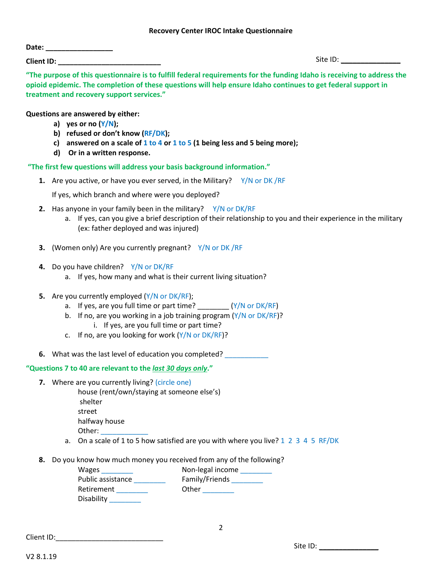#### **Recovery Center IROC Intake Questionnaire**

| Date:             |  |  |  |
|-------------------|--|--|--|
| <b>Client ID:</b> |  |  |  |

Site ID: \_\_\_\_\_\_\_\_\_\_\_\_\_\_\_

**"The purpose of this questionnaire is to fulfill federal requirements for the funding Idaho is receiving to address the opioid epidemic. The completion of these questions will help ensure Idaho continues to get federal support in treatment and recovery support services."**

## **Questions are answered by either:**

- **a) yes or no (Y/N);**
- **b) refused or don't know (RF/DK);**
- **c) answered on a scale of 1 to 4 or 1 to 5 (1 being less and 5 being more);**
- **d) Or in a written response.**

 **"The first few questions will address your basis background information."** 

**1.** Are you active, or have you ever served, in the Military? Y/N or DK/RF

If yes, which branch and where were you deployed?

- **2.** Has anyone in your family been in the military? Y/N or DK/RF
	- a. If yes, can you give a brief description of their relationship to you and their experience in the military (ex: father deployed and was injured)
- **3.** (Women only) Are you currently pregnant? Y/N or DK /RF
- **4.** Do you have children? Y/N or DK/RF
	- a. If yes, how many and what is their current living situation?
- **5.** Are you currently employed (Y/N or DK/RF);
	- a. If yes, are you full time or part time?  $(Y/N$  or  $DK/RF)$
	- b. If no, are you working in a job training program  $(Y/N)$  or  $DK/RF$ ?
		- i. If yes, are you full time or part time?
	- c. If no, are you looking for work  $(Y/N)$  or  $DK/RF$ ?
- **6.** What was the last level of education you completed?

# **"Questions 7 to 40 are relevant to the** *last 30 days only***."**

**7.** Where are you currently living? (circle one)

house (rent/own/staying at someone else's) shelter street halfway house Other:

- a. On a scale of 1 to 5 how satisfied are you with where you live? 1 2 3 4 5 RF/DK
- **8.** Do you know how much money you received from any of the following?

| Wages             | Non-legal income |
|-------------------|------------------|
| Public assistance | Family/Friends   |
| Retirement        | Other            |
| Disability        |                  |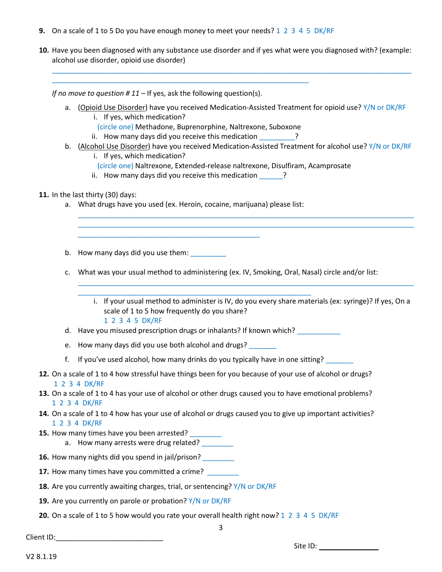**9.** On a scale of 1 to 5 Do you have enough money to meet your needs? 1 2 3 4 5 DK/RF

\_\_\_\_\_\_\_\_\_\_\_\_\_\_\_\_\_\_\_\_\_\_\_\_\_\_\_\_\_\_\_\_\_\_\_\_\_\_\_\_\_\_\_\_\_\_\_\_\_\_\_\_\_\_\_\_\_\_\_\_\_\_\_\_\_

**10.** Have you been diagnosed with any substance use disorder and if yes what were you diagnosed with? (example: alcohol use disorder, opioid use disorder)

\_\_\_\_\_\_\_\_\_\_\_\_\_\_\_\_\_\_\_\_\_\_\_\_\_\_\_\_\_\_\_\_\_\_\_\_\_\_\_\_\_\_\_\_\_\_\_\_\_\_\_\_\_\_\_\_\_\_\_\_\_\_\_\_\_\_\_\_\_\_\_\_\_\_\_\_\_\_\_\_\_\_\_\_\_\_\_\_\_\_\_

*If no move to question # 11 –* If yes, ask the following question(s).

- a. (Opioid Use Disorder) have you received Medication-Assisted Treatment for opioid use? Y/N or DK/RF i. If yes, which medication?
	- (circle one) Methadone, Buprenorphine, Naltrexone, Suboxone
	- $ii.$  How many days did you receive this medication  $\qquad$  ?
- b. (Alcohol Use Disorder) have you received Medication-Assisted Treatment for alcohol use? Y/N or DK/RF

\_\_\_\_\_\_\_\_\_\_\_\_\_\_\_\_\_\_\_\_\_\_\_\_\_\_\_\_\_\_\_\_\_\_\_\_\_\_\_\_\_\_\_\_\_\_\_\_\_\_\_\_\_\_\_\_\_\_\_\_\_\_\_\_\_\_\_\_\_\_\_\_\_\_\_\_\_\_\_\_\_\_\_\_\_ \_\_\_\_\_\_\_\_\_\_\_\_\_\_\_\_\_\_\_\_\_\_\_\_\_\_\_\_\_\_\_\_\_\_\_\_\_\_\_\_\_\_\_\_\_\_\_\_\_\_\_\_\_\_\_\_\_\_\_\_\_\_\_\_\_\_\_\_\_\_\_\_\_\_\_\_\_\_\_\_\_\_\_\_\_

- i. If yes, which medication?
- (circle one) Naltrexone, Extended-release naltrexone, Disulfiram, Acamprosate
- ii. How many days did you receive this medication **Fig.**

#### **11.** In the last thirty (30) days:

a. What drugs have you used (ex. Heroin, cocaine, marijuana) please list:

\_\_\_\_\_\_\_\_\_\_\_\_\_\_\_\_\_\_\_\_\_\_\_\_\_\_\_\_\_\_\_\_\_\_\_\_\_\_\_\_\_\_\_\_\_\_

b. How many days did you use them: \_\_\_\_\_\_\_\_

c. What was your usual method to administering (ex. IV, Smoking, Oral, Nasal) circle and/or list:

i. If your usual method to administer is IV, do you every share materials (ex: syringe)? If yes, On a scale of 1 to 5 how frequently do you share?

\_\_\_\_\_\_\_\_\_\_\_\_\_\_\_\_\_\_\_\_\_\_\_\_\_\_\_\_\_\_\_\_\_\_\_\_\_\_\_\_\_\_\_\_\_\_\_\_\_\_\_\_\_\_\_\_\_\_\_\_\_\_\_\_\_\_\_\_\_\_\_\_\_\_\_\_\_\_\_\_\_\_\_\_\_

#### 1 2 3 4 5 DK/RF

d. Have you misused prescription drugs or inhalants? If known which?

\_\_\_\_\_\_\_\_\_\_\_\_\_\_\_\_\_\_\_\_\_\_\_\_\_\_\_\_\_\_\_\_\_\_\_\_\_\_\_\_\_\_\_\_\_\_\_\_\_\_\_\_\_\_\_\_\_\_\_

- e. How many days did you use both alcohol and drugs?
- f. If you've used alcohol, how many drinks do you typically have in one sitting?
- **12.** On a scale of 1 to 4 how stressful have things been for you because of your use of alcohol or drugs? 1 2 3 4 DK/RF
- **13.** On a scale of 1 to 4 has your use of alcohol or other drugs caused you to have emotional problems? 1 2 3 4 DK/RF
- **14.** On a scale of 1 to 4 how has your use of alcohol or drugs caused you to give up important activities? 1 2 3 4 DK/RF
- **15.** How many times have you been arrested? \_\_\_\_\_\_\_\_
	- a. How many arrests were drug related?
- **16.** How many nights did you spend in jail/prison?
- **17.** How many times have you committed a crime?
- **18.** Are you currently awaiting charges, trial, or sentencing? Y/N or DK/RF
- **19.** Are you currently on parole or probation? Y/N or DK/RF
- **20.** On a scale of 1 to 5 how would you rate your overall health right now? 1 2 3 4 5 DK/RF

Client ID:

Site ID: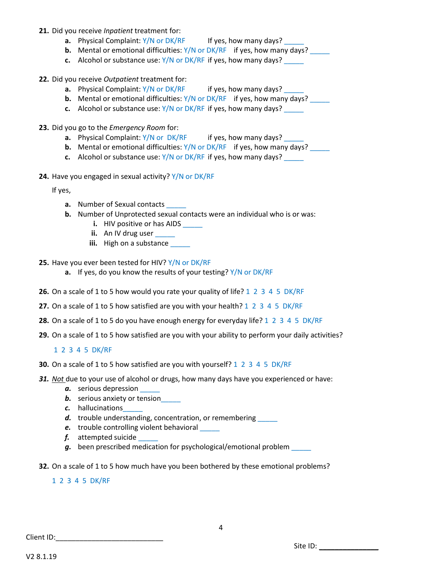- **21.** Did you receive *Inpatient* treatment for:
	- **a.** Physical Complaint: Y/N or DK/RF If yes, how many days?
	- **b.** Mental or emotional difficulties: Y/N or DK/RF if yes, how many days?
	- **c.** Alcohol or substance use: Y/N or DK/RF if yes, how many days?
- **22.** Did you receive *Outpatient* treatment for:
	- **a.** Physical Complaint: Y/N or DK/RF if yes, how many days?
	- **b.** Mental or emotional difficulties: Y/N or DK/RF if yes, how many days?
	- **c.** Alcohol or substance use:  $Y/N$  or DK/RF if yes, how many days?
- **23.** Did you go to the *Emergency Room* for:
	- **a.** Physical Complaint: Y/N or DK/RF if yes, how many days? \_\_\_\_\_
	- **b.** Mental or emotional difficulties: Y/N or DK/RF if yes, how many days?
	- **c.** Alcohol or substance use: Y/N or DK/RF if yes, how many days?
- **24.** Have you engaged in sexual activity? Y/N or DK/RF

If yes,

- **a.** Number of Sexual contacts
- **b.** Number of Unprotected sexual contacts were an individual who is or was:
	- **i.** HIV positive or has AIDS
	- **ii.** An IV drug user
	- **iii.** High on a substance \_\_\_\_\_
- **25.** Have you ever been tested for HIV? Y/N or DK/RF
	- **a.** If yes, do you know the results of your testing? Y/N or DK/RF
- **26.** On a scale of 1 to 5 how would you rate your quality of life? 1 2 3 4 5 DK/RF
- **27.** On a scale of 1 to 5 how satisfied are you with your health? 1 2 3 4 5 DK/RF
- **28.** On a scale of 1 to 5 do you have enough energy for everyday life? 1 2 3 4 5 DK/RF
- **29.** On a scale of 1 to 5 how satisfied are you with your ability to perform your daily activities?

# 1 2 3 4 5 DK/RF

- **30.** On a scale of 1 to 5 how satisfied are you with yourself? 1 2 3 4 5 DK/RF
- *31. Not* due to your use of alcohol or drugs, how many days have you experienced or have:
	- *a.* serious depression \_\_\_\_\_
	- **b.** serious anxiety or tension
	- *c.* hallucinations\_\_\_\_\_
	- d. trouble understanding, concentration, or remembering
	- **e.** trouble controlling violent behavioral
	- *f.* attempted suicide \_\_\_\_\_
	- *g.* been prescribed medication for psychological/emotional problem \_\_\_\_\_
- **32.** On a scale of 1 to 5 how much have you been bothered by these emotional problems?

#### 1 2 3 4 5 DK/RF